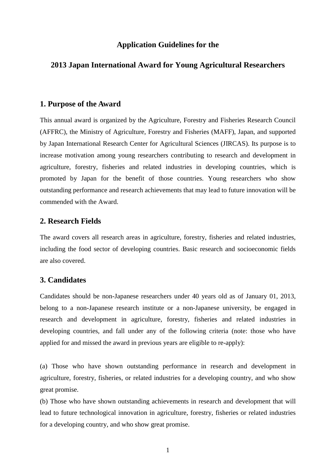### **Application Guidelines for the**

# **2013 Japan International Award for Young Agricultural Researchers**

#### **1. Purpose of the Award**

This annual award is organized by the Agriculture, Forestry and Fisheries Research Council (AFFRC), the Ministry of Agriculture, Forestry and Fisheries (MAFF), Japan, and supported by Japan International Research Center for Agricultural Sciences (JIRCAS). Its purpose is to increase motivation among young researchers contributing to research and development in agriculture, forestry, fisheries and related industries in developing countries, which is promoted by Japan for the benefit of those countries. Young researchers who show outstanding performance and research achievements that may lead to future innovation will be commended with the Award.

## **2. Research Fields**

The award covers all research areas in agriculture, forestry, fisheries and related industries, including the food sector of developing countries. Basic research and socioeconomic fields are also covered.

# **3. Candidates**

Candidates should be non-Japanese researchers under 40 years old as of January 01, 2013, belong to a non-Japanese research institute or a non-Japanese university, be engaged in research and development in agriculture, forestry, fisheries and related industries in developing countries, and fall under any of the following criteria (note: those who have applied for and missed the award in previous years are eligible to re-apply):

(a) Those who have shown outstanding performance in research and development in agriculture, forestry, fisheries, or related industries for a developing country, and who show great promise.

(b) Those who have shown outstanding achievements in research and development that will lead to future technological innovation in agriculture, forestry, fisheries or related industries for a developing country, and who show great promise.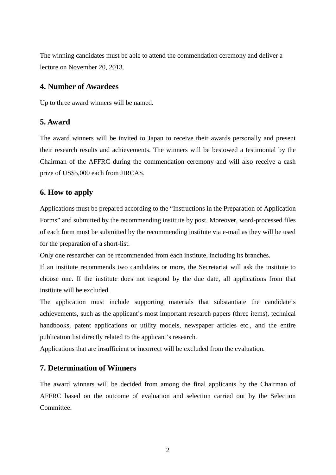The winning candidates must be able to attend the commendation ceremony and deliver a lecture on November 20, 2013.

# **4. Number of Awardees**

Up to three award winners will be named.

# **5. Award**

The award winners will be invited to Japan to receive their awards personally and present their research results and achievements. The winners will be bestowed a testimonial by the Chairman of the AFFRC during the commendation ceremony and will also receive a cash prize of US\$5,000 each from JIRCAS.

# **6. How to apply**

Applications must be prepared according to the "Instructions in the Preparation of Application Forms" and submitted by the recommending institute by post. Moreover, word-processed files of each form must be submitted by the recommending institute via e-mail as they will be used for the preparation of a short-list.

Only one researcher can be recommended from each institute, including its branches.

If an institute recommends two candidates or more, the Secretariat will ask the institute to choose one. If the institute does not respond by the due date, all applications from that institute will be excluded.

The application must include supporting materials that substantiate the candidate's achievements, such as the applicant's most important research papers (three items), technical handbooks, patent applications or utility models, newspaper articles etc., and the entire publication list directly related to the applicant's research.

Applications that are insufficient or incorrect will be excluded from the evaluation.

### **7. Determination of Winners**

The award winners will be decided from among the final applicants by the Chairman of AFFRC based on the outcome of evaluation and selection carried out by the Selection Committee.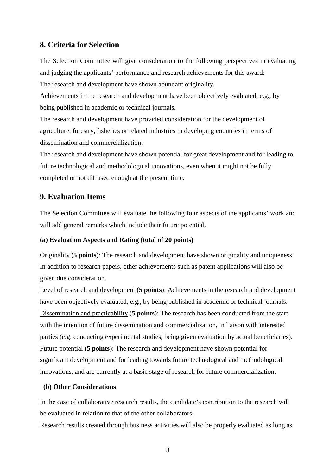# **8. Criteria for Selection**

The Selection Committee will give consideration to the following perspectives in evaluating and judging the applicants' performance and research achievements for this award: The research and development have shown abundant originality.

Achievements in the research and development have been objectively evaluated, e.g., by being published in academic or technical journals.

The research and development have provided consideration for the development of agriculture, forestry, fisheries or related industries in developing countries in terms of dissemination and commercialization.

The research and development have shown potential for great development and for leading to future technological and methodological innovations, even when it might not be fully completed or not diffused enough at the present time.

# **9. Evaluation Items**

The Selection Committee will evaluate the following four aspects of the applicants' work and will add general remarks which include their future potential.

### **(a) Evaluation Aspects and Rating (total of 20 points)**

Originality (**5 points**): The research and development have shown originality and uniqueness. In addition to research papers, other achievements such as patent applications will also be given due consideration.

Level of research and development (**5 points**): Achievements in the research and development have been objectively evaluated, e.g., by being published in academic or technical journals. Dissemination and practicability (**5 points**): The research has been conducted from the start with the intention of future dissemination and commercialization, in liaison with interested parties (e.g. conducting experimental studies, being given evaluation by actual beneficiaries). Future potential (**5 points**): The research and development have shown potential for significant development and for leading towards future technological and methodological innovations, and are currently at a basic stage of research for future commercialization.

### **(b) Other Considerations**

In the case of collaborative research results, the candidate's contribution to the research will be evaluated in relation to that of the other collaborators.

Research results created through business activities will also be properly evaluated as long as